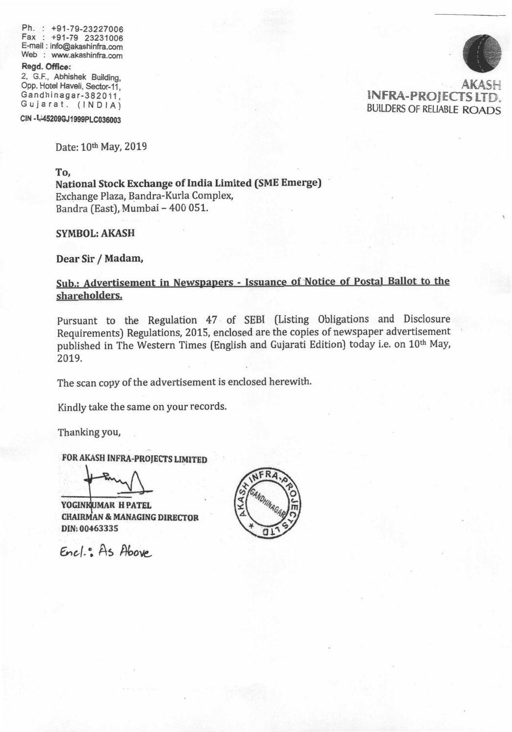Ph. : +91-79-23227006 Ph. : +91-79-23227006 Fax : +91-79 23231006 E-mail : info@akashinfra.com E-mail : info@akashinfra.com Web : www.akashinfra.com Web : www.akashinfra.com

## **Regd. Office:**  Ragd. Office:

2, G.F., Abhishek Building, 2, G.F., Abhishek Buitdino. Opp. Hotel Haveli, Sector-11, Opp. Hotet Haveti, Sector-1i. Gandhinagar-382011, Gandhinagar-382011,<br>Gujarat. (INDIA)

CIN - L45209GJ1999PLC036003

INFRA-PROJECTS LTD. BUILDERS OF RELIABLE **ROADS**  BUII.DERS OF RELIABTE ROADS AKAS!-:

Date: 10<sup>th</sup> May, 2019

**To,**  To,

**National Stock Exchange of India Limited (SME Emerge)**  National Stock Exchange of lndia Limited (SME Emerge) Exchange Plaza, Bandra-Kurla Complex, Exchange Plaza, Bandra-Kurla Comple& Bandra (East), Mumbai - 400 051. Bandra (East), Mumbai - 400 051.

**SYMBOL: AKASH**  SYMBOL: AKASH

**Dear Sir / Madam,**  Dear Sir / Madam,

## **Sub.: Advertisement in Newspapers - Issuance of Notice of Postal Ballot to the**  Sub.: Advertisement in Newspapers - lssuance of Notice of Postal Ballot to the **shareholders.**  shareholders.

Pursuant to the Regulation 47 of SEBI (Listing Obligations and Disclosure Pursuant to the Regulation 47 of SEBI (Listing Obligations and Disclosure Requirements) Regulations, 2015, enclosed are the copies of newspaper advertisement Requirements) Regulations, 2015, enclosed are the copies of newspaper advertisement published in The Western Times (English and Gujarati Edition) today i.e. on 10<sup>th</sup> May, 2019.

The scan copy of the advertisement is enclosed herewith. The scan copy of the advertisement is enclosed herewith.

Kindly take the same on your records. Kindly take the same on your records.

Thanking you, Thanking you,

FOR AKASH INFRA-PROJECTS LIMITED

**YOGINIi,UMAR H PATEL**  H PATEL **CHAIRMAN & MANAGING DIRECTOR**  & MAIIAGING DIRBCTOR **DIN: 00463335**  DIN:00463335

 $FR$ ANDHINAGARY

*Ene.1...* As **4ov,**  €nol.", As Abo.g.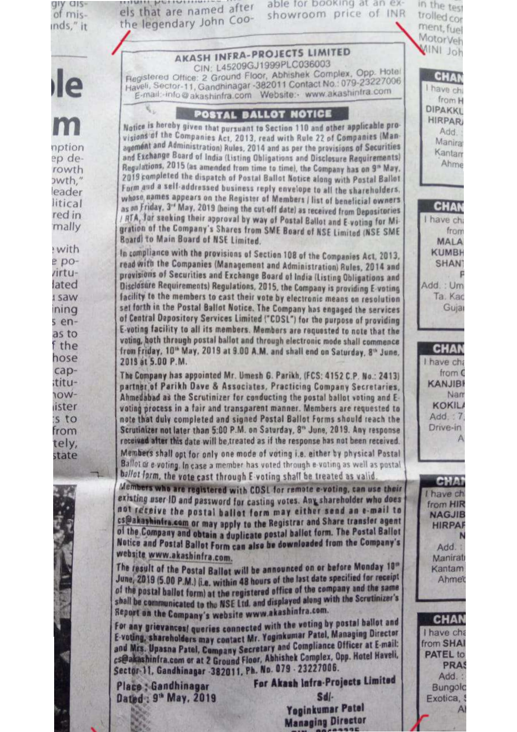| MINI Joh<br><b>AKASH INFRA-PROJECTS LIMITED</b><br>CIN: L45209GJ1999PLC036003<br>Registered Office: 2 Ground Floor, Abhishek Complex, Opp. Hotel<br><b>CHAN</b><br>lle<br>Haveli, Sector-11, Gandhinagar -382011 Contact No.: 079-23227006<br>I have chi<br>E-mail:-info@akashinfra.com Website:- www.akashinfra.com<br>from H<br>DIPAKKL<br>POSTAL BALLOT NOTICE<br><b>HIRPAR</b><br>m<br>Notice is hereby given that pursuant to Section 110 and other applicable pro-<br>Add.<br>visions of the Companies Act, 2013, read with Rule 22 of Companies (Man-<br><b>Manira</b><br>agement and Administration) Rules, 2014 and as per the provisions of Securities<br>nption<br>Kantam<br>and Exchange Board of India (Listing Obligations and Disclosure Requirements)<br>ep de-<br>Ahme<br>Regulations, 2015 (as amended from time to time), the Company has on 9 <sup>th</sup> May.<br>rowth<br>2019 campleted the dispatch of Postal Ballot Notice along with Postal Ballot<br>owth,"<br>Form and a self-addressed business reply envelope to all the shareholders.<br>eader<br>whose names appears on the Register of Members / list of beneficial owners<br>litical<br><b>CHAN</b><br>as on Friday, 3 <sup>rd</sup> May, 2019 (being the cut-off date) as received from Depositories<br>red in<br>/ ATA, far seeking their approval by way of Postal Ballot and E voting for Mi-<br>I have cha<br>mally<br>gration of the Company's Shares from SME Board of NSE Limited (NSE SME<br>from<br><b>Board to Main Board of NSE Limited.</b><br><b>MALA</b><br>with<br><b>KUMBH</b><br>In compliance with the provisions of Section 108 of the Companies Act, 2013,<br>$epo-$<br>read with the Companies (Management and Administration) Rules, 2014 and<br><b>SHANT</b><br>/irtu-<br>provisions of Securities and Exchange Board of India (Listing Obligations and<br>lated<br>Disclosure Requirements) Regulations, 2015, the Company is providing E-voting<br>Add.: Um<br>facility to the members to cast their vote by electronic means on resolution<br>Ta. Kac<br><b>I saw</b><br>set forth in the Postal Ballot Notice. The Company has engaged the services<br>Gujar<br>ning<br>of Central Depository Services Limited ("CDSL") for the purpose of providing<br>$s$ en-<br>E-voting facility to all its members. Members are requested to note that the<br>as to<br>voting, both through postal ballot and through electronic mode shall commence<br>f the<br><b>CHAN</b><br>from Friday, 10 <sup>th</sup> May, 2019 at 9.00 A.M. and shall end on Saturday, 8 <sup>th</sup> June,<br>hose<br>2019 at 5.00 P.M.<br>I have cha<br>cap-<br>from C<br>The Company has appointed Mr. Umesh G. Parikh, (FCS: 4152 C.P. No.: 2413)<br>titu-<br><b>KANJIBI</b><br>partner of Parikh Dave & Associates, Practicing Company Secretaries,<br>-WOr<br>Nam<br>Ahmedabad as the Scrutinizer for conducting the postal ballot voting and E-<br><b>KOKILA</b><br>ister<br>voting process in a fair and transparent manner. Members are requested to<br>Add: 7<br>'s to<br>note that duly completed and signed Postal Ballot Forms should reach the<br>Drive-in<br>Scrutinizer not later than 5:00 P.M. on Saturday, 8" June, 2019. Any response<br>from<br>received after this date will be treated as if the response has not been received.<br>tely,<br>Members shall opt for only one mode of voting i.e. either by physical Postal<br>state<br>Ballot or e-voting. In case a member has voted through e-voting as well as postal<br>ballot form, the vote cast through E voting shall be treated as valid.<br>CHAI<br>Members who are registered with CDSL for remote e-voting, can use their<br>I have chi<br>existing user ID and password for casting votes. Any shareholder who does<br>from HIR<br>not receive the postal ballot form may either send an e-mail to<br><b>NAGJIB</b><br>cs@akashintra.com or may apply to the Registrar and Share transfer agent<br><b>HIRPAF</b><br>of the Company and obtain a duplicate postal ballot form. The Postal Ballot<br>Notice and Postal Ballot Form can also be downloaded from the Company's<br>Add.:<br>website www.akashinfra.com.<br>Manirati<br>The result of the Postal Ballot will be announced on or before Monday 10"<br>Kantam<br>June, 2019 (5.00 P.M.) (i.e. within 48 hours of the last date specified for receipt<br>Ahmet<br>of the postal ballot form) at the registered office of the company and the same<br>shall be communicated to the NSE Ltd. and displayed along with the Scrutinizer's<br>Report on the Company's website www.akashinfra.com.<br><b>CHAN</b><br>For any grievances! queries connected with the voting by postal ballot and<br>I have cha<br>E-voting, shareholders may contact Mr. Yoginkumar Patel, Managing Director<br>from SHAI<br>and Mrs. Upasna Patel, Company Secretary and Compliance Officer at E-mail:<br><b>PATEL to</b><br>cs@akashinfra.com or at 2 Ground Floor, Abhishek Complex, Opp. Hotel Haveli,<br><b>PRAS</b><br>Sector-11, Gandhinagar -382011, Ph. No. 079 - 23227006.<br>Add.:<br>For Akash Infra-Projects Limited<br><b>Place: Gandhinagar</b><br><b>Bungolc</b><br>Sdl-<br>Dated: 9 <sup>th</sup> May, 2019<br>Exotica,<br>Yoginkumar Patel<br><b>Managing Director</b> | diy als-<br>of mis-<br>nds," it | <b>ITIMITI PETIOTINING</b><br>able for booking at an ex-<br>els that are named after<br>showroom price of INR<br>the legendary John Coo- | in the test<br>trolled cor<br>ment, fuel |
|-------------------------------------------------------------------------------------------------------------------------------------------------------------------------------------------------------------------------------------------------------------------------------------------------------------------------------------------------------------------------------------------------------------------------------------------------------------------------------------------------------------------------------------------------------------------------------------------------------------------------------------------------------------------------------------------------------------------------------------------------------------------------------------------------------------------------------------------------------------------------------------------------------------------------------------------------------------------------------------------------------------------------------------------------------------------------------------------------------------------------------------------------------------------------------------------------------------------------------------------------------------------------------------------------------------------------------------------------------------------------------------------------------------------------------------------------------------------------------------------------------------------------------------------------------------------------------------------------------------------------------------------------------------------------------------------------------------------------------------------------------------------------------------------------------------------------------------------------------------------------------------------------------------------------------------------------------------------------------------------------------------------------------------------------------------------------------------------------------------------------------------------------------------------------------------------------------------------------------------------------------------------------------------------------------------------------------------------------------------------------------------------------------------------------------------------------------------------------------------------------------------------------------------------------------------------------------------------------------------------------------------------------------------------------------------------------------------------------------------------------------------------------------------------------------------------------------------------------------------------------------------------------------------------------------------------------------------------------------------------------------------------------------------------------------------------------------------------------------------------------------------------------------------------------------------------------------------------------------------------------------------------------------------------------------------------------------------------------------------------------------------------------------------------------------------------------------------------------------------------------------------------------------------------------------------------------------------------------------------------------------------------------------------------------------------------------------------------------------------------------------------------------------------------------------------------------------------------------------------------------------------------------------------------------------------------------------------------------------------------------------------------------------------------------------------------------------------------------------------------------------------------------------------------------------------------------------------------------------------------------------------------------------------------------------------------------------------------------------------------------------------------------------------------------------------------------------------------------------------------------------------------------------------------------------------------------------------------------------------------------------------------------------------------------------------------------------------------------------------------------------------------------------------------------------------------------------------------------------------------------------------------------------------------------------------------------------------------------------------------------------------------------------------------------------------------------------------------------------------------------------------------------------------------------------------------------------------------------------------------------------------------------------------------|---------------------------------|------------------------------------------------------------------------------------------------------------------------------------------|------------------------------------------|
|                                                                                                                                                                                                                                                                                                                                                                                                                                                                                                                                                                                                                                                                                                                                                                                                                                                                                                                                                                                                                                                                                                                                                                                                                                                                                                                                                                                                                                                                                                                                                                                                                                                                                                                                                                                                                                                                                                                                                                                                                                                                                                                                                                                                                                                                                                                                                                                                                                                                                                                                                                                                                                                                                                                                                                                                                                                                                                                                                                                                                                                                                                                                                                                                                                                                                                                                                                                                                                                                                                                                                                                                                                                                                                                                                                                                                                                                                                                                                                                                                                                                                                                                                                                                                                                                                                                                                                                                                                                                                                                                                                                                                                                                                                                                                                                                                                                                                                                                                                                                                                                                                                                                                                                                                                                                                           |                                 |                                                                                                                                          | MotorVeh                                 |
|                                                                                                                                                                                                                                                                                                                                                                                                                                                                                                                                                                                                                                                                                                                                                                                                                                                                                                                                                                                                                                                                                                                                                                                                                                                                                                                                                                                                                                                                                                                                                                                                                                                                                                                                                                                                                                                                                                                                                                                                                                                                                                                                                                                                                                                                                                                                                                                                                                                                                                                                                                                                                                                                                                                                                                                                                                                                                                                                                                                                                                                                                                                                                                                                                                                                                                                                                                                                                                                                                                                                                                                                                                                                                                                                                                                                                                                                                                                                                                                                                                                                                                                                                                                                                                                                                                                                                                                                                                                                                                                                                                                                                                                                                                                                                                                                                                                                                                                                                                                                                                                                                                                                                                                                                                                                                           |                                 |                                                                                                                                          |                                          |
|                                                                                                                                                                                                                                                                                                                                                                                                                                                                                                                                                                                                                                                                                                                                                                                                                                                                                                                                                                                                                                                                                                                                                                                                                                                                                                                                                                                                                                                                                                                                                                                                                                                                                                                                                                                                                                                                                                                                                                                                                                                                                                                                                                                                                                                                                                                                                                                                                                                                                                                                                                                                                                                                                                                                                                                                                                                                                                                                                                                                                                                                                                                                                                                                                                                                                                                                                                                                                                                                                                                                                                                                                                                                                                                                                                                                                                                                                                                                                                                                                                                                                                                                                                                                                                                                                                                                                                                                                                                                                                                                                                                                                                                                                                                                                                                                                                                                                                                                                                                                                                                                                                                                                                                                                                                                                           |                                 |                                                                                                                                          |                                          |
|                                                                                                                                                                                                                                                                                                                                                                                                                                                                                                                                                                                                                                                                                                                                                                                                                                                                                                                                                                                                                                                                                                                                                                                                                                                                                                                                                                                                                                                                                                                                                                                                                                                                                                                                                                                                                                                                                                                                                                                                                                                                                                                                                                                                                                                                                                                                                                                                                                                                                                                                                                                                                                                                                                                                                                                                                                                                                                                                                                                                                                                                                                                                                                                                                                                                                                                                                                                                                                                                                                                                                                                                                                                                                                                                                                                                                                                                                                                                                                                                                                                                                                                                                                                                                                                                                                                                                                                                                                                                                                                                                                                                                                                                                                                                                                                                                                                                                                                                                                                                                                                                                                                                                                                                                                                                                           |                                 |                                                                                                                                          |                                          |
|                                                                                                                                                                                                                                                                                                                                                                                                                                                                                                                                                                                                                                                                                                                                                                                                                                                                                                                                                                                                                                                                                                                                                                                                                                                                                                                                                                                                                                                                                                                                                                                                                                                                                                                                                                                                                                                                                                                                                                                                                                                                                                                                                                                                                                                                                                                                                                                                                                                                                                                                                                                                                                                                                                                                                                                                                                                                                                                                                                                                                                                                                                                                                                                                                                                                                                                                                                                                                                                                                                                                                                                                                                                                                                                                                                                                                                                                                                                                                                                                                                                                                                                                                                                                                                                                                                                                                                                                                                                                                                                                                                                                                                                                                                                                                                                                                                                                                                                                                                                                                                                                                                                                                                                                                                                                                           |                                 |                                                                                                                                          |                                          |
|                                                                                                                                                                                                                                                                                                                                                                                                                                                                                                                                                                                                                                                                                                                                                                                                                                                                                                                                                                                                                                                                                                                                                                                                                                                                                                                                                                                                                                                                                                                                                                                                                                                                                                                                                                                                                                                                                                                                                                                                                                                                                                                                                                                                                                                                                                                                                                                                                                                                                                                                                                                                                                                                                                                                                                                                                                                                                                                                                                                                                                                                                                                                                                                                                                                                                                                                                                                                                                                                                                                                                                                                                                                                                                                                                                                                                                                                                                                                                                                                                                                                                                                                                                                                                                                                                                                                                                                                                                                                                                                                                                                                                                                                                                                                                                                                                                                                                                                                                                                                                                                                                                                                                                                                                                                                                           |                                 |                                                                                                                                          |                                          |
|                                                                                                                                                                                                                                                                                                                                                                                                                                                                                                                                                                                                                                                                                                                                                                                                                                                                                                                                                                                                                                                                                                                                                                                                                                                                                                                                                                                                                                                                                                                                                                                                                                                                                                                                                                                                                                                                                                                                                                                                                                                                                                                                                                                                                                                                                                                                                                                                                                                                                                                                                                                                                                                                                                                                                                                                                                                                                                                                                                                                                                                                                                                                                                                                                                                                                                                                                                                                                                                                                                                                                                                                                                                                                                                                                                                                                                                                                                                                                                                                                                                                                                                                                                                                                                                                                                                                                                                                                                                                                                                                                                                                                                                                                                                                                                                                                                                                                                                                                                                                                                                                                                                                                                                                                                                                                           |                                 |                                                                                                                                          |                                          |
|                                                                                                                                                                                                                                                                                                                                                                                                                                                                                                                                                                                                                                                                                                                                                                                                                                                                                                                                                                                                                                                                                                                                                                                                                                                                                                                                                                                                                                                                                                                                                                                                                                                                                                                                                                                                                                                                                                                                                                                                                                                                                                                                                                                                                                                                                                                                                                                                                                                                                                                                                                                                                                                                                                                                                                                                                                                                                                                                                                                                                                                                                                                                                                                                                                                                                                                                                                                                                                                                                                                                                                                                                                                                                                                                                                                                                                                                                                                                                                                                                                                                                                                                                                                                                                                                                                                                                                                                                                                                                                                                                                                                                                                                                                                                                                                                                                                                                                                                                                                                                                                                                                                                                                                                                                                                                           |                                 |                                                                                                                                          |                                          |
|                                                                                                                                                                                                                                                                                                                                                                                                                                                                                                                                                                                                                                                                                                                                                                                                                                                                                                                                                                                                                                                                                                                                                                                                                                                                                                                                                                                                                                                                                                                                                                                                                                                                                                                                                                                                                                                                                                                                                                                                                                                                                                                                                                                                                                                                                                                                                                                                                                                                                                                                                                                                                                                                                                                                                                                                                                                                                                                                                                                                                                                                                                                                                                                                                                                                                                                                                                                                                                                                                                                                                                                                                                                                                                                                                                                                                                                                                                                                                                                                                                                                                                                                                                                                                                                                                                                                                                                                                                                                                                                                                                                                                                                                                                                                                                                                                                                                                                                                                                                                                                                                                                                                                                                                                                                                                           |                                 |                                                                                                                                          |                                          |
|                                                                                                                                                                                                                                                                                                                                                                                                                                                                                                                                                                                                                                                                                                                                                                                                                                                                                                                                                                                                                                                                                                                                                                                                                                                                                                                                                                                                                                                                                                                                                                                                                                                                                                                                                                                                                                                                                                                                                                                                                                                                                                                                                                                                                                                                                                                                                                                                                                                                                                                                                                                                                                                                                                                                                                                                                                                                                                                                                                                                                                                                                                                                                                                                                                                                                                                                                                                                                                                                                                                                                                                                                                                                                                                                                                                                                                                                                                                                                                                                                                                                                                                                                                                                                                                                                                                                                                                                                                                                                                                                                                                                                                                                                                                                                                                                                                                                                                                                                                                                                                                                                                                                                                                                                                                                                           |                                 |                                                                                                                                          |                                          |
|                                                                                                                                                                                                                                                                                                                                                                                                                                                                                                                                                                                                                                                                                                                                                                                                                                                                                                                                                                                                                                                                                                                                                                                                                                                                                                                                                                                                                                                                                                                                                                                                                                                                                                                                                                                                                                                                                                                                                                                                                                                                                                                                                                                                                                                                                                                                                                                                                                                                                                                                                                                                                                                                                                                                                                                                                                                                                                                                                                                                                                                                                                                                                                                                                                                                                                                                                                                                                                                                                                                                                                                                                                                                                                                                                                                                                                                                                                                                                                                                                                                                                                                                                                                                                                                                                                                                                                                                                                                                                                                                                                                                                                                                                                                                                                                                                                                                                                                                                                                                                                                                                                                                                                                                                                                                                           |                                 |                                                                                                                                          |                                          |
|                                                                                                                                                                                                                                                                                                                                                                                                                                                                                                                                                                                                                                                                                                                                                                                                                                                                                                                                                                                                                                                                                                                                                                                                                                                                                                                                                                                                                                                                                                                                                                                                                                                                                                                                                                                                                                                                                                                                                                                                                                                                                                                                                                                                                                                                                                                                                                                                                                                                                                                                                                                                                                                                                                                                                                                                                                                                                                                                                                                                                                                                                                                                                                                                                                                                                                                                                                                                                                                                                                                                                                                                                                                                                                                                                                                                                                                                                                                                                                                                                                                                                                                                                                                                                                                                                                                                                                                                                                                                                                                                                                                                                                                                                                                                                                                                                                                                                                                                                                                                                                                                                                                                                                                                                                                                                           |                                 |                                                                                                                                          |                                          |
|                                                                                                                                                                                                                                                                                                                                                                                                                                                                                                                                                                                                                                                                                                                                                                                                                                                                                                                                                                                                                                                                                                                                                                                                                                                                                                                                                                                                                                                                                                                                                                                                                                                                                                                                                                                                                                                                                                                                                                                                                                                                                                                                                                                                                                                                                                                                                                                                                                                                                                                                                                                                                                                                                                                                                                                                                                                                                                                                                                                                                                                                                                                                                                                                                                                                                                                                                                                                                                                                                                                                                                                                                                                                                                                                                                                                                                                                                                                                                                                                                                                                                                                                                                                                                                                                                                                                                                                                                                                                                                                                                                                                                                                                                                                                                                                                                                                                                                                                                                                                                                                                                                                                                                                                                                                                                           |                                 |                                                                                                                                          |                                          |
|                                                                                                                                                                                                                                                                                                                                                                                                                                                                                                                                                                                                                                                                                                                                                                                                                                                                                                                                                                                                                                                                                                                                                                                                                                                                                                                                                                                                                                                                                                                                                                                                                                                                                                                                                                                                                                                                                                                                                                                                                                                                                                                                                                                                                                                                                                                                                                                                                                                                                                                                                                                                                                                                                                                                                                                                                                                                                                                                                                                                                                                                                                                                                                                                                                                                                                                                                                                                                                                                                                                                                                                                                                                                                                                                                                                                                                                                                                                                                                                                                                                                                                                                                                                                                                                                                                                                                                                                                                                                                                                                                                                                                                                                                                                                                                                                                                                                                                                                                                                                                                                                                                                                                                                                                                                                                           |                                 |                                                                                                                                          |                                          |
|                                                                                                                                                                                                                                                                                                                                                                                                                                                                                                                                                                                                                                                                                                                                                                                                                                                                                                                                                                                                                                                                                                                                                                                                                                                                                                                                                                                                                                                                                                                                                                                                                                                                                                                                                                                                                                                                                                                                                                                                                                                                                                                                                                                                                                                                                                                                                                                                                                                                                                                                                                                                                                                                                                                                                                                                                                                                                                                                                                                                                                                                                                                                                                                                                                                                                                                                                                                                                                                                                                                                                                                                                                                                                                                                                                                                                                                                                                                                                                                                                                                                                                                                                                                                                                                                                                                                                                                                                                                                                                                                                                                                                                                                                                                                                                                                                                                                                                                                                                                                                                                                                                                                                                                                                                                                                           |                                 |                                                                                                                                          |                                          |
|                                                                                                                                                                                                                                                                                                                                                                                                                                                                                                                                                                                                                                                                                                                                                                                                                                                                                                                                                                                                                                                                                                                                                                                                                                                                                                                                                                                                                                                                                                                                                                                                                                                                                                                                                                                                                                                                                                                                                                                                                                                                                                                                                                                                                                                                                                                                                                                                                                                                                                                                                                                                                                                                                                                                                                                                                                                                                                                                                                                                                                                                                                                                                                                                                                                                                                                                                                                                                                                                                                                                                                                                                                                                                                                                                                                                                                                                                                                                                                                                                                                                                                                                                                                                                                                                                                                                                                                                                                                                                                                                                                                                                                                                                                                                                                                                                                                                                                                                                                                                                                                                                                                                                                                                                                                                                           |                                 |                                                                                                                                          |                                          |
|                                                                                                                                                                                                                                                                                                                                                                                                                                                                                                                                                                                                                                                                                                                                                                                                                                                                                                                                                                                                                                                                                                                                                                                                                                                                                                                                                                                                                                                                                                                                                                                                                                                                                                                                                                                                                                                                                                                                                                                                                                                                                                                                                                                                                                                                                                                                                                                                                                                                                                                                                                                                                                                                                                                                                                                                                                                                                                                                                                                                                                                                                                                                                                                                                                                                                                                                                                                                                                                                                                                                                                                                                                                                                                                                                                                                                                                                                                                                                                                                                                                                                                                                                                                                                                                                                                                                                                                                                                                                                                                                                                                                                                                                                                                                                                                                                                                                                                                                                                                                                                                                                                                                                                                                                                                                                           |                                 |                                                                                                                                          |                                          |
|                                                                                                                                                                                                                                                                                                                                                                                                                                                                                                                                                                                                                                                                                                                                                                                                                                                                                                                                                                                                                                                                                                                                                                                                                                                                                                                                                                                                                                                                                                                                                                                                                                                                                                                                                                                                                                                                                                                                                                                                                                                                                                                                                                                                                                                                                                                                                                                                                                                                                                                                                                                                                                                                                                                                                                                                                                                                                                                                                                                                                                                                                                                                                                                                                                                                                                                                                                                                                                                                                                                                                                                                                                                                                                                                                                                                                                                                                                                                                                                                                                                                                                                                                                                                                                                                                                                                                                                                                                                                                                                                                                                                                                                                                                                                                                                                                                                                                                                                                                                                                                                                                                                                                                                                                                                                                           |                                 |                                                                                                                                          |                                          |
|                                                                                                                                                                                                                                                                                                                                                                                                                                                                                                                                                                                                                                                                                                                                                                                                                                                                                                                                                                                                                                                                                                                                                                                                                                                                                                                                                                                                                                                                                                                                                                                                                                                                                                                                                                                                                                                                                                                                                                                                                                                                                                                                                                                                                                                                                                                                                                                                                                                                                                                                                                                                                                                                                                                                                                                                                                                                                                                                                                                                                                                                                                                                                                                                                                                                                                                                                                                                                                                                                                                                                                                                                                                                                                                                                                                                                                                                                                                                                                                                                                                                                                                                                                                                                                                                                                                                                                                                                                                                                                                                                                                                                                                                                                                                                                                                                                                                                                                                                                                                                                                                                                                                                                                                                                                                                           |                                 |                                                                                                                                          |                                          |
|                                                                                                                                                                                                                                                                                                                                                                                                                                                                                                                                                                                                                                                                                                                                                                                                                                                                                                                                                                                                                                                                                                                                                                                                                                                                                                                                                                                                                                                                                                                                                                                                                                                                                                                                                                                                                                                                                                                                                                                                                                                                                                                                                                                                                                                                                                                                                                                                                                                                                                                                                                                                                                                                                                                                                                                                                                                                                                                                                                                                                                                                                                                                                                                                                                                                                                                                                                                                                                                                                                                                                                                                                                                                                                                                                                                                                                                                                                                                                                                                                                                                                                                                                                                                                                                                                                                                                                                                                                                                                                                                                                                                                                                                                                                                                                                                                                                                                                                                                                                                                                                                                                                                                                                                                                                                                           |                                 |                                                                                                                                          |                                          |
|                                                                                                                                                                                                                                                                                                                                                                                                                                                                                                                                                                                                                                                                                                                                                                                                                                                                                                                                                                                                                                                                                                                                                                                                                                                                                                                                                                                                                                                                                                                                                                                                                                                                                                                                                                                                                                                                                                                                                                                                                                                                                                                                                                                                                                                                                                                                                                                                                                                                                                                                                                                                                                                                                                                                                                                                                                                                                                                                                                                                                                                                                                                                                                                                                                                                                                                                                                                                                                                                                                                                                                                                                                                                                                                                                                                                                                                                                                                                                                                                                                                                                                                                                                                                                                                                                                                                                                                                                                                                                                                                                                                                                                                                                                                                                                                                                                                                                                                                                                                                                                                                                                                                                                                                                                                                                           |                                 |                                                                                                                                          |                                          |
|                                                                                                                                                                                                                                                                                                                                                                                                                                                                                                                                                                                                                                                                                                                                                                                                                                                                                                                                                                                                                                                                                                                                                                                                                                                                                                                                                                                                                                                                                                                                                                                                                                                                                                                                                                                                                                                                                                                                                                                                                                                                                                                                                                                                                                                                                                                                                                                                                                                                                                                                                                                                                                                                                                                                                                                                                                                                                                                                                                                                                                                                                                                                                                                                                                                                                                                                                                                                                                                                                                                                                                                                                                                                                                                                                                                                                                                                                                                                                                                                                                                                                                                                                                                                                                                                                                                                                                                                                                                                                                                                                                                                                                                                                                                                                                                                                                                                                                                                                                                                                                                                                                                                                                                                                                                                                           |                                 |                                                                                                                                          |                                          |
|                                                                                                                                                                                                                                                                                                                                                                                                                                                                                                                                                                                                                                                                                                                                                                                                                                                                                                                                                                                                                                                                                                                                                                                                                                                                                                                                                                                                                                                                                                                                                                                                                                                                                                                                                                                                                                                                                                                                                                                                                                                                                                                                                                                                                                                                                                                                                                                                                                                                                                                                                                                                                                                                                                                                                                                                                                                                                                                                                                                                                                                                                                                                                                                                                                                                                                                                                                                                                                                                                                                                                                                                                                                                                                                                                                                                                                                                                                                                                                                                                                                                                                                                                                                                                                                                                                                                                                                                                                                                                                                                                                                                                                                                                                                                                                                                                                                                                                                                                                                                                                                                                                                                                                                                                                                                                           |                                 |                                                                                                                                          |                                          |
|                                                                                                                                                                                                                                                                                                                                                                                                                                                                                                                                                                                                                                                                                                                                                                                                                                                                                                                                                                                                                                                                                                                                                                                                                                                                                                                                                                                                                                                                                                                                                                                                                                                                                                                                                                                                                                                                                                                                                                                                                                                                                                                                                                                                                                                                                                                                                                                                                                                                                                                                                                                                                                                                                                                                                                                                                                                                                                                                                                                                                                                                                                                                                                                                                                                                                                                                                                                                                                                                                                                                                                                                                                                                                                                                                                                                                                                                                                                                                                                                                                                                                                                                                                                                                                                                                                                                                                                                                                                                                                                                                                                                                                                                                                                                                                                                                                                                                                                                                                                                                                                                                                                                                                                                                                                                                           |                                 |                                                                                                                                          |                                          |
|                                                                                                                                                                                                                                                                                                                                                                                                                                                                                                                                                                                                                                                                                                                                                                                                                                                                                                                                                                                                                                                                                                                                                                                                                                                                                                                                                                                                                                                                                                                                                                                                                                                                                                                                                                                                                                                                                                                                                                                                                                                                                                                                                                                                                                                                                                                                                                                                                                                                                                                                                                                                                                                                                                                                                                                                                                                                                                                                                                                                                                                                                                                                                                                                                                                                                                                                                                                                                                                                                                                                                                                                                                                                                                                                                                                                                                                                                                                                                                                                                                                                                                                                                                                                                                                                                                                                                                                                                                                                                                                                                                                                                                                                                                                                                                                                                                                                                                                                                                                                                                                                                                                                                                                                                                                                                           |                                 |                                                                                                                                          |                                          |
|                                                                                                                                                                                                                                                                                                                                                                                                                                                                                                                                                                                                                                                                                                                                                                                                                                                                                                                                                                                                                                                                                                                                                                                                                                                                                                                                                                                                                                                                                                                                                                                                                                                                                                                                                                                                                                                                                                                                                                                                                                                                                                                                                                                                                                                                                                                                                                                                                                                                                                                                                                                                                                                                                                                                                                                                                                                                                                                                                                                                                                                                                                                                                                                                                                                                                                                                                                                                                                                                                                                                                                                                                                                                                                                                                                                                                                                                                                                                                                                                                                                                                                                                                                                                                                                                                                                                                                                                                                                                                                                                                                                                                                                                                                                                                                                                                                                                                                                                                                                                                                                                                                                                                                                                                                                                                           |                                 |                                                                                                                                          |                                          |
|                                                                                                                                                                                                                                                                                                                                                                                                                                                                                                                                                                                                                                                                                                                                                                                                                                                                                                                                                                                                                                                                                                                                                                                                                                                                                                                                                                                                                                                                                                                                                                                                                                                                                                                                                                                                                                                                                                                                                                                                                                                                                                                                                                                                                                                                                                                                                                                                                                                                                                                                                                                                                                                                                                                                                                                                                                                                                                                                                                                                                                                                                                                                                                                                                                                                                                                                                                                                                                                                                                                                                                                                                                                                                                                                                                                                                                                                                                                                                                                                                                                                                                                                                                                                                                                                                                                                                                                                                                                                                                                                                                                                                                                                                                                                                                                                                                                                                                                                                                                                                                                                                                                                                                                                                                                                                           |                                 |                                                                                                                                          |                                          |
|                                                                                                                                                                                                                                                                                                                                                                                                                                                                                                                                                                                                                                                                                                                                                                                                                                                                                                                                                                                                                                                                                                                                                                                                                                                                                                                                                                                                                                                                                                                                                                                                                                                                                                                                                                                                                                                                                                                                                                                                                                                                                                                                                                                                                                                                                                                                                                                                                                                                                                                                                                                                                                                                                                                                                                                                                                                                                                                                                                                                                                                                                                                                                                                                                                                                                                                                                                                                                                                                                                                                                                                                                                                                                                                                                                                                                                                                                                                                                                                                                                                                                                                                                                                                                                                                                                                                                                                                                                                                                                                                                                                                                                                                                                                                                                                                                                                                                                                                                                                                                                                                                                                                                                                                                                                                                           |                                 |                                                                                                                                          |                                          |
|                                                                                                                                                                                                                                                                                                                                                                                                                                                                                                                                                                                                                                                                                                                                                                                                                                                                                                                                                                                                                                                                                                                                                                                                                                                                                                                                                                                                                                                                                                                                                                                                                                                                                                                                                                                                                                                                                                                                                                                                                                                                                                                                                                                                                                                                                                                                                                                                                                                                                                                                                                                                                                                                                                                                                                                                                                                                                                                                                                                                                                                                                                                                                                                                                                                                                                                                                                                                                                                                                                                                                                                                                                                                                                                                                                                                                                                                                                                                                                                                                                                                                                                                                                                                                                                                                                                                                                                                                                                                                                                                                                                                                                                                                                                                                                                                                                                                                                                                                                                                                                                                                                                                                                                                                                                                                           |                                 |                                                                                                                                          |                                          |
|                                                                                                                                                                                                                                                                                                                                                                                                                                                                                                                                                                                                                                                                                                                                                                                                                                                                                                                                                                                                                                                                                                                                                                                                                                                                                                                                                                                                                                                                                                                                                                                                                                                                                                                                                                                                                                                                                                                                                                                                                                                                                                                                                                                                                                                                                                                                                                                                                                                                                                                                                                                                                                                                                                                                                                                                                                                                                                                                                                                                                                                                                                                                                                                                                                                                                                                                                                                                                                                                                                                                                                                                                                                                                                                                                                                                                                                                                                                                                                                                                                                                                                                                                                                                                                                                                                                                                                                                                                                                                                                                                                                                                                                                                                                                                                                                                                                                                                                                                                                                                                                                                                                                                                                                                                                                                           |                                 |                                                                                                                                          |                                          |
|                                                                                                                                                                                                                                                                                                                                                                                                                                                                                                                                                                                                                                                                                                                                                                                                                                                                                                                                                                                                                                                                                                                                                                                                                                                                                                                                                                                                                                                                                                                                                                                                                                                                                                                                                                                                                                                                                                                                                                                                                                                                                                                                                                                                                                                                                                                                                                                                                                                                                                                                                                                                                                                                                                                                                                                                                                                                                                                                                                                                                                                                                                                                                                                                                                                                                                                                                                                                                                                                                                                                                                                                                                                                                                                                                                                                                                                                                                                                                                                                                                                                                                                                                                                                                                                                                                                                                                                                                                                                                                                                                                                                                                                                                                                                                                                                                                                                                                                                                                                                                                                                                                                                                                                                                                                                                           |                                 |                                                                                                                                          |                                          |
|                                                                                                                                                                                                                                                                                                                                                                                                                                                                                                                                                                                                                                                                                                                                                                                                                                                                                                                                                                                                                                                                                                                                                                                                                                                                                                                                                                                                                                                                                                                                                                                                                                                                                                                                                                                                                                                                                                                                                                                                                                                                                                                                                                                                                                                                                                                                                                                                                                                                                                                                                                                                                                                                                                                                                                                                                                                                                                                                                                                                                                                                                                                                                                                                                                                                                                                                                                                                                                                                                                                                                                                                                                                                                                                                                                                                                                                                                                                                                                                                                                                                                                                                                                                                                                                                                                                                                                                                                                                                                                                                                                                                                                                                                                                                                                                                                                                                                                                                                                                                                                                                                                                                                                                                                                                                                           |                                 |                                                                                                                                          |                                          |
|                                                                                                                                                                                                                                                                                                                                                                                                                                                                                                                                                                                                                                                                                                                                                                                                                                                                                                                                                                                                                                                                                                                                                                                                                                                                                                                                                                                                                                                                                                                                                                                                                                                                                                                                                                                                                                                                                                                                                                                                                                                                                                                                                                                                                                                                                                                                                                                                                                                                                                                                                                                                                                                                                                                                                                                                                                                                                                                                                                                                                                                                                                                                                                                                                                                                                                                                                                                                                                                                                                                                                                                                                                                                                                                                                                                                                                                                                                                                                                                                                                                                                                                                                                                                                                                                                                                                                                                                                                                                                                                                                                                                                                                                                                                                                                                                                                                                                                                                                                                                                                                                                                                                                                                                                                                                                           |                                 |                                                                                                                                          |                                          |
|                                                                                                                                                                                                                                                                                                                                                                                                                                                                                                                                                                                                                                                                                                                                                                                                                                                                                                                                                                                                                                                                                                                                                                                                                                                                                                                                                                                                                                                                                                                                                                                                                                                                                                                                                                                                                                                                                                                                                                                                                                                                                                                                                                                                                                                                                                                                                                                                                                                                                                                                                                                                                                                                                                                                                                                                                                                                                                                                                                                                                                                                                                                                                                                                                                                                                                                                                                                                                                                                                                                                                                                                                                                                                                                                                                                                                                                                                                                                                                                                                                                                                                                                                                                                                                                                                                                                                                                                                                                                                                                                                                                                                                                                                                                                                                                                                                                                                                                                                                                                                                                                                                                                                                                                                                                                                           |                                 |                                                                                                                                          |                                          |
|                                                                                                                                                                                                                                                                                                                                                                                                                                                                                                                                                                                                                                                                                                                                                                                                                                                                                                                                                                                                                                                                                                                                                                                                                                                                                                                                                                                                                                                                                                                                                                                                                                                                                                                                                                                                                                                                                                                                                                                                                                                                                                                                                                                                                                                                                                                                                                                                                                                                                                                                                                                                                                                                                                                                                                                                                                                                                                                                                                                                                                                                                                                                                                                                                                                                                                                                                                                                                                                                                                                                                                                                                                                                                                                                                                                                                                                                                                                                                                                                                                                                                                                                                                                                                                                                                                                                                                                                                                                                                                                                                                                                                                                                                                                                                                                                                                                                                                                                                                                                                                                                                                                                                                                                                                                                                           |                                 |                                                                                                                                          |                                          |
|                                                                                                                                                                                                                                                                                                                                                                                                                                                                                                                                                                                                                                                                                                                                                                                                                                                                                                                                                                                                                                                                                                                                                                                                                                                                                                                                                                                                                                                                                                                                                                                                                                                                                                                                                                                                                                                                                                                                                                                                                                                                                                                                                                                                                                                                                                                                                                                                                                                                                                                                                                                                                                                                                                                                                                                                                                                                                                                                                                                                                                                                                                                                                                                                                                                                                                                                                                                                                                                                                                                                                                                                                                                                                                                                                                                                                                                                                                                                                                                                                                                                                                                                                                                                                                                                                                                                                                                                                                                                                                                                                                                                                                                                                                                                                                                                                                                                                                                                                                                                                                                                                                                                                                                                                                                                                           |                                 |                                                                                                                                          |                                          |
|                                                                                                                                                                                                                                                                                                                                                                                                                                                                                                                                                                                                                                                                                                                                                                                                                                                                                                                                                                                                                                                                                                                                                                                                                                                                                                                                                                                                                                                                                                                                                                                                                                                                                                                                                                                                                                                                                                                                                                                                                                                                                                                                                                                                                                                                                                                                                                                                                                                                                                                                                                                                                                                                                                                                                                                                                                                                                                                                                                                                                                                                                                                                                                                                                                                                                                                                                                                                                                                                                                                                                                                                                                                                                                                                                                                                                                                                                                                                                                                                                                                                                                                                                                                                                                                                                                                                                                                                                                                                                                                                                                                                                                                                                                                                                                                                                                                                                                                                                                                                                                                                                                                                                                                                                                                                                           |                                 |                                                                                                                                          |                                          |
|                                                                                                                                                                                                                                                                                                                                                                                                                                                                                                                                                                                                                                                                                                                                                                                                                                                                                                                                                                                                                                                                                                                                                                                                                                                                                                                                                                                                                                                                                                                                                                                                                                                                                                                                                                                                                                                                                                                                                                                                                                                                                                                                                                                                                                                                                                                                                                                                                                                                                                                                                                                                                                                                                                                                                                                                                                                                                                                                                                                                                                                                                                                                                                                                                                                                                                                                                                                                                                                                                                                                                                                                                                                                                                                                                                                                                                                                                                                                                                                                                                                                                                                                                                                                                                                                                                                                                                                                                                                                                                                                                                                                                                                                                                                                                                                                                                                                                                                                                                                                                                                                                                                                                                                                                                                                                           |                                 |                                                                                                                                          |                                          |
|                                                                                                                                                                                                                                                                                                                                                                                                                                                                                                                                                                                                                                                                                                                                                                                                                                                                                                                                                                                                                                                                                                                                                                                                                                                                                                                                                                                                                                                                                                                                                                                                                                                                                                                                                                                                                                                                                                                                                                                                                                                                                                                                                                                                                                                                                                                                                                                                                                                                                                                                                                                                                                                                                                                                                                                                                                                                                                                                                                                                                                                                                                                                                                                                                                                                                                                                                                                                                                                                                                                                                                                                                                                                                                                                                                                                                                                                                                                                                                                                                                                                                                                                                                                                                                                                                                                                                                                                                                                                                                                                                                                                                                                                                                                                                                                                                                                                                                                                                                                                                                                                                                                                                                                                                                                                                           |                                 |                                                                                                                                          |                                          |
|                                                                                                                                                                                                                                                                                                                                                                                                                                                                                                                                                                                                                                                                                                                                                                                                                                                                                                                                                                                                                                                                                                                                                                                                                                                                                                                                                                                                                                                                                                                                                                                                                                                                                                                                                                                                                                                                                                                                                                                                                                                                                                                                                                                                                                                                                                                                                                                                                                                                                                                                                                                                                                                                                                                                                                                                                                                                                                                                                                                                                                                                                                                                                                                                                                                                                                                                                                                                                                                                                                                                                                                                                                                                                                                                                                                                                                                                                                                                                                                                                                                                                                                                                                                                                                                                                                                                                                                                                                                                                                                                                                                                                                                                                                                                                                                                                                                                                                                                                                                                                                                                                                                                                                                                                                                                                           |                                 |                                                                                                                                          |                                          |
|                                                                                                                                                                                                                                                                                                                                                                                                                                                                                                                                                                                                                                                                                                                                                                                                                                                                                                                                                                                                                                                                                                                                                                                                                                                                                                                                                                                                                                                                                                                                                                                                                                                                                                                                                                                                                                                                                                                                                                                                                                                                                                                                                                                                                                                                                                                                                                                                                                                                                                                                                                                                                                                                                                                                                                                                                                                                                                                                                                                                                                                                                                                                                                                                                                                                                                                                                                                                                                                                                                                                                                                                                                                                                                                                                                                                                                                                                                                                                                                                                                                                                                                                                                                                                                                                                                                                                                                                                                                                                                                                                                                                                                                                                                                                                                                                                                                                                                                                                                                                                                                                                                                                                                                                                                                                                           |                                 |                                                                                                                                          |                                          |
|                                                                                                                                                                                                                                                                                                                                                                                                                                                                                                                                                                                                                                                                                                                                                                                                                                                                                                                                                                                                                                                                                                                                                                                                                                                                                                                                                                                                                                                                                                                                                                                                                                                                                                                                                                                                                                                                                                                                                                                                                                                                                                                                                                                                                                                                                                                                                                                                                                                                                                                                                                                                                                                                                                                                                                                                                                                                                                                                                                                                                                                                                                                                                                                                                                                                                                                                                                                                                                                                                                                                                                                                                                                                                                                                                                                                                                                                                                                                                                                                                                                                                                                                                                                                                                                                                                                                                                                                                                                                                                                                                                                                                                                                                                                                                                                                                                                                                                                                                                                                                                                                                                                                                                                                                                                                                           |                                 |                                                                                                                                          |                                          |
|                                                                                                                                                                                                                                                                                                                                                                                                                                                                                                                                                                                                                                                                                                                                                                                                                                                                                                                                                                                                                                                                                                                                                                                                                                                                                                                                                                                                                                                                                                                                                                                                                                                                                                                                                                                                                                                                                                                                                                                                                                                                                                                                                                                                                                                                                                                                                                                                                                                                                                                                                                                                                                                                                                                                                                                                                                                                                                                                                                                                                                                                                                                                                                                                                                                                                                                                                                                                                                                                                                                                                                                                                                                                                                                                                                                                                                                                                                                                                                                                                                                                                                                                                                                                                                                                                                                                                                                                                                                                                                                                                                                                                                                                                                                                                                                                                                                                                                                                                                                                                                                                                                                                                                                                                                                                                           |                                 |                                                                                                                                          |                                          |
|                                                                                                                                                                                                                                                                                                                                                                                                                                                                                                                                                                                                                                                                                                                                                                                                                                                                                                                                                                                                                                                                                                                                                                                                                                                                                                                                                                                                                                                                                                                                                                                                                                                                                                                                                                                                                                                                                                                                                                                                                                                                                                                                                                                                                                                                                                                                                                                                                                                                                                                                                                                                                                                                                                                                                                                                                                                                                                                                                                                                                                                                                                                                                                                                                                                                                                                                                                                                                                                                                                                                                                                                                                                                                                                                                                                                                                                                                                                                                                                                                                                                                                                                                                                                                                                                                                                                                                                                                                                                                                                                                                                                                                                                                                                                                                                                                                                                                                                                                                                                                                                                                                                                                                                                                                                                                           |                                 |                                                                                                                                          |                                          |
|                                                                                                                                                                                                                                                                                                                                                                                                                                                                                                                                                                                                                                                                                                                                                                                                                                                                                                                                                                                                                                                                                                                                                                                                                                                                                                                                                                                                                                                                                                                                                                                                                                                                                                                                                                                                                                                                                                                                                                                                                                                                                                                                                                                                                                                                                                                                                                                                                                                                                                                                                                                                                                                                                                                                                                                                                                                                                                                                                                                                                                                                                                                                                                                                                                                                                                                                                                                                                                                                                                                                                                                                                                                                                                                                                                                                                                                                                                                                                                                                                                                                                                                                                                                                                                                                                                                                                                                                                                                                                                                                                                                                                                                                                                                                                                                                                                                                                                                                                                                                                                                                                                                                                                                                                                                                                           |                                 |                                                                                                                                          |                                          |
|                                                                                                                                                                                                                                                                                                                                                                                                                                                                                                                                                                                                                                                                                                                                                                                                                                                                                                                                                                                                                                                                                                                                                                                                                                                                                                                                                                                                                                                                                                                                                                                                                                                                                                                                                                                                                                                                                                                                                                                                                                                                                                                                                                                                                                                                                                                                                                                                                                                                                                                                                                                                                                                                                                                                                                                                                                                                                                                                                                                                                                                                                                                                                                                                                                                                                                                                                                                                                                                                                                                                                                                                                                                                                                                                                                                                                                                                                                                                                                                                                                                                                                                                                                                                                                                                                                                                                                                                                                                                                                                                                                                                                                                                                                                                                                                                                                                                                                                                                                                                                                                                                                                                                                                                                                                                                           |                                 |                                                                                                                                          |                                          |
|                                                                                                                                                                                                                                                                                                                                                                                                                                                                                                                                                                                                                                                                                                                                                                                                                                                                                                                                                                                                                                                                                                                                                                                                                                                                                                                                                                                                                                                                                                                                                                                                                                                                                                                                                                                                                                                                                                                                                                                                                                                                                                                                                                                                                                                                                                                                                                                                                                                                                                                                                                                                                                                                                                                                                                                                                                                                                                                                                                                                                                                                                                                                                                                                                                                                                                                                                                                                                                                                                                                                                                                                                                                                                                                                                                                                                                                                                                                                                                                                                                                                                                                                                                                                                                                                                                                                                                                                                                                                                                                                                                                                                                                                                                                                                                                                                                                                                                                                                                                                                                                                                                                                                                                                                                                                                           |                                 |                                                                                                                                          |                                          |